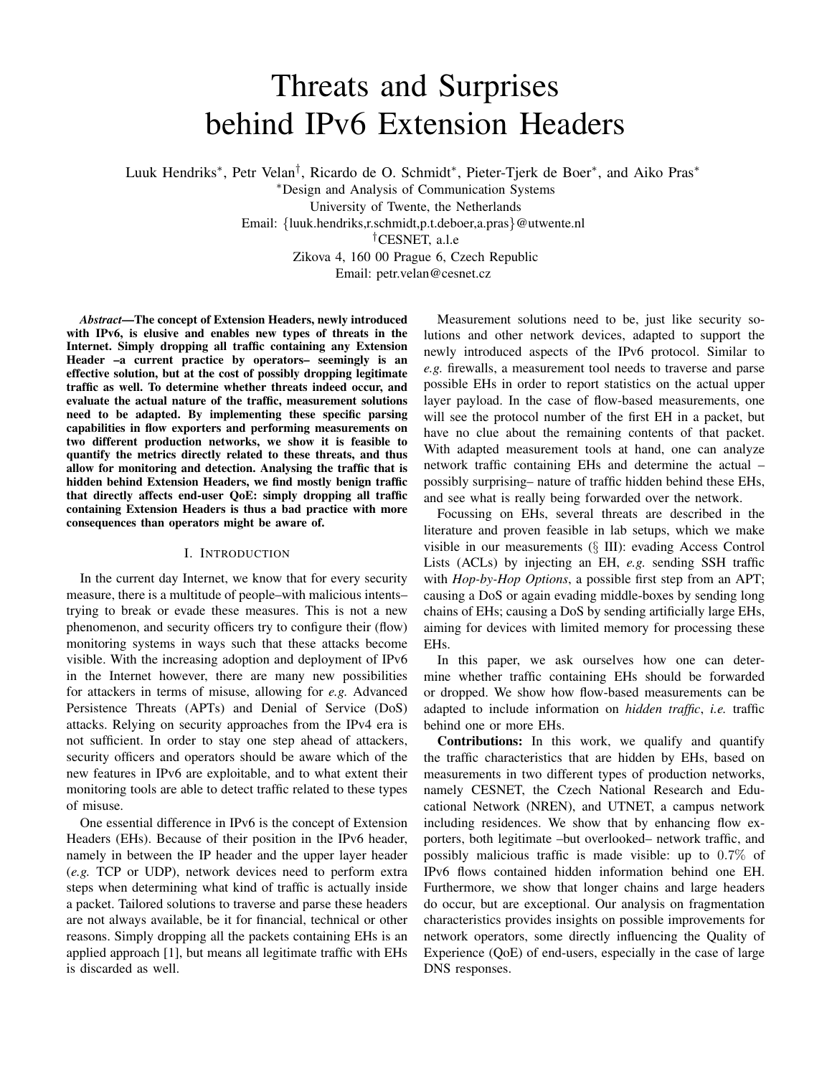# Threats and Surprises behind IPv6 Extension Headers

Luuk Hendriks∗, Petr Velan†, Ricardo de O. Schmidt∗, Pieter-Tjerk de Boer∗, and Aiko Pras∗

∗Design and Analysis of Communication Systems University of Twente, the Netherlands Email: {luuk.hendriks,r.schmidt,p.t.deboer,a.pras}@utwente.nl †CESNET, a.l.e Zikova 4, 160 00 Prague 6, Czech Republic Email: petr.velan@cesnet.cz

*Abstract*—The concept of Extension Headers, newly introduced with IPv6, is elusive and enables new types of threats in the Internet. Simply dropping all traffic containing any Extension Header –a current practice by operators– seemingly is an effective solution, but at the cost of possibly dropping legitimate traffic as well. To determine whether threats indeed occur, and evaluate the actual nature of the traffic, measurement solutions need to be adapted. By implementing these specific parsing capabilities in flow exporters and performing measurements on two different production networks, we show it is feasible to quantify the metrics directly related to these threats, and thus allow for monitoring and detection. Analysing the traffic that is hidden behind Extension Headers, we find mostly benign traffic that directly affects end-user QoE: simply dropping all traffic containing Extension Headers is thus a bad practice with more consequences than operators might be aware of.

## I. INTRODUCTION

In the current day Internet, we know that for every security measure, there is a multitude of people–with malicious intents– trying to break or evade these measures. This is not a new phenomenon, and security officers try to configure their (flow) monitoring systems in ways such that these attacks become visible. With the increasing adoption and deployment of IPv6 in the Internet however, there are many new possibilities for attackers in terms of misuse, allowing for *e.g.* Advanced Persistence Threats (APTs) and Denial of Service (DoS) attacks. Relying on security approaches from the IPv4 era is not sufficient. In order to stay one step ahead of attackers, security officers and operators should be aware which of the new features in IPv6 are exploitable, and to what extent their monitoring tools are able to detect traffic related to these types of misuse.

One essential difference in IPv6 is the concept of Extension Headers (EHs). Because of their position in the IPv6 header, namely in between the IP header and the upper layer header (*e.g.* TCP or UDP), network devices need to perform extra steps when determining what kind of traffic is actually inside a packet. Tailored solutions to traverse and parse these headers are not always available, be it for financial, technical or other reasons. Simply dropping all the packets containing EHs is an applied approach [1], but means all legitimate traffic with EHs is discarded as well.

Measurement solutions need to be, just like security solutions and other network devices, adapted to support the newly introduced aspects of the IPv6 protocol. Similar to *e.g.* firewalls, a measurement tool needs to traverse and parse possible EHs in order to report statistics on the actual upper layer payload. In the case of flow-based measurements, one will see the protocol number of the first EH in a packet, but have no clue about the remaining contents of that packet. With adapted measurement tools at hand, one can analyze network traffic containing EHs and determine the actual – possibly surprising– nature of traffic hidden behind these EHs, and see what is really being forwarded over the network.

Focussing on EHs, several threats are described in the literature and proven feasible in lab setups, which we make visible in our measurements (§ III): evading Access Control Lists (ACLs) by injecting an EH, *e.g.* sending SSH traffic with *Hop-by-Hop Options*, a possible first step from an APT; causing a DoS or again evading middle-boxes by sending long chains of EHs; causing a DoS by sending artificially large EHs, aiming for devices with limited memory for processing these EHs.

In this paper, we ask ourselves how one can determine whether traffic containing EHs should be forwarded or dropped. We show how flow-based measurements can be adapted to include information on *hidden traffic*, *i.e.* traffic behind one or more EHs.

Contributions: In this work, we qualify and quantify the traffic characteristics that are hidden by EHs, based on measurements in two different types of production networks, namely CESNET, the Czech National Research and Educational Network (NREN), and UTNET, a campus network including residences. We show that by enhancing flow exporters, both legitimate –but overlooked– network traffic, and possibly malicious traffic is made visible: up to 0.7% of IPv6 flows contained hidden information behind one EH. Furthermore, we show that longer chains and large headers do occur, but are exceptional. Our analysis on fragmentation characteristics provides insights on possible improvements for network operators, some directly influencing the Quality of Experience (QoE) of end-users, especially in the case of large DNS responses.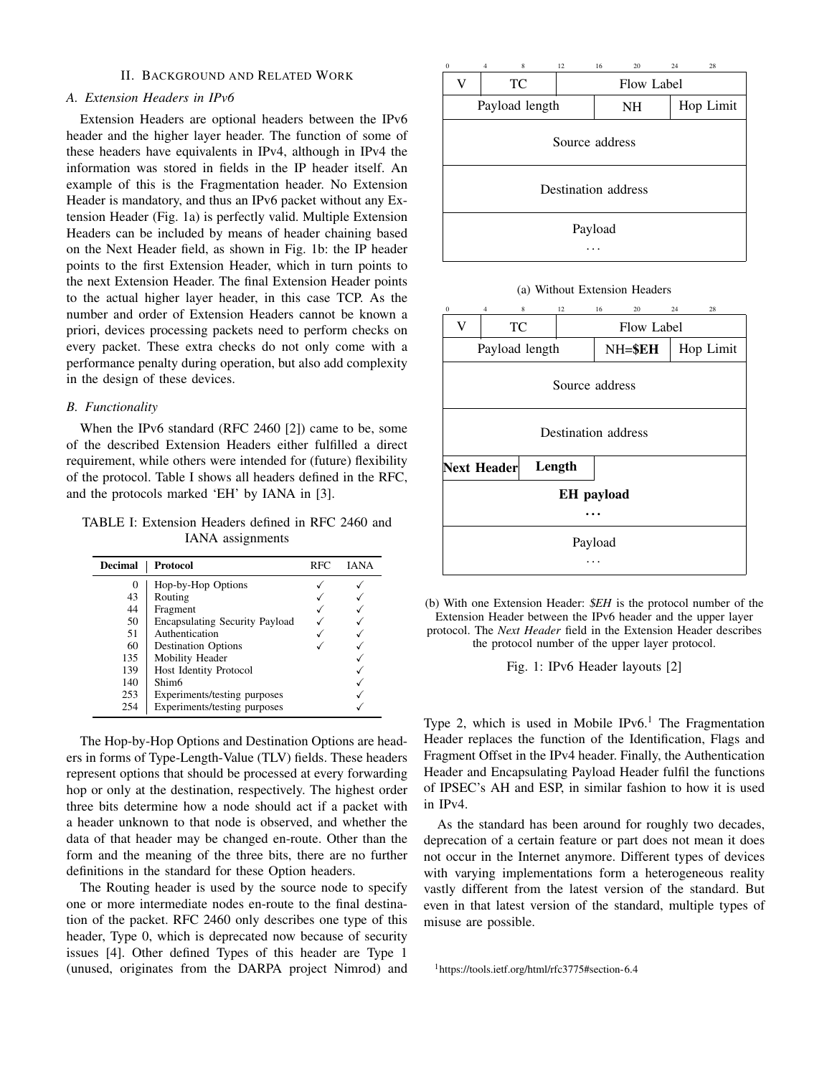### II. BACKGROUND AND RELATED WORK

# *A. Extension Headers in IPv6*

Extension Headers are optional headers between the IPv6 header and the higher layer header. The function of some of these headers have equivalents in IPv4, although in IPv4 the information was stored in fields in the IP header itself. An example of this is the Fragmentation header. No Extension Header is mandatory, and thus an IPv6 packet without any Extension Header (Fig. 1a) is perfectly valid. Multiple Extension Headers can be included by means of header chaining based on the Next Header field, as shown in Fig. 1b: the IP header points to the first Extension Header, which in turn points to the next Extension Header. The final Extension Header points to the actual higher layer header, in this case TCP. As the number and order of Extension Headers cannot be known a priori, devices processing packets need to perform checks on every packet. These extra checks do not only come with a performance penalty during operation, but also add complexity in the design of these devices.

#### *B. Functionality*

When the IPv6 standard (RFC 2460 [2]) came to be, some of the described Extension Headers either fulfilled a direct requirement, while others were intended for (future) flexibility of the protocol. Table I shows all headers defined in the RFC, and the protocols marked 'EH' by IANA in [3].

TABLE I: Extension Headers defined in RFC 2460 and IANA assignments

| <b>Decimal</b> | Protocol                       | RFC | <b>IANA</b> |
|----------------|--------------------------------|-----|-------------|
| O              | Hop-by-Hop Options             |     |             |
| 43             | Routing                        |     |             |
| 44             | Fragment                       |     |             |
| 50             | Encapsulating Security Payload |     |             |
| 51             | Authentication                 |     |             |
| 60             | <b>Destination Options</b>     |     |             |
| 135            | Mobility Header                |     |             |
| 139            | Host Identity Protocol         |     |             |
| 140            | Shim <sub>6</sub>              |     |             |
| 253            | Experiments/testing purposes   |     |             |
| 254            | Experiments/testing purposes   |     |             |

The Hop-by-Hop Options and Destination Options are headers in forms of Type-Length-Value (TLV) fields. These headers represent options that should be processed at every forwarding hop or only at the destination, respectively. The highest order three bits determine how a node should act if a packet with a header unknown to that node is observed, and whether the data of that header may be changed en-route. Other than the form and the meaning of the three bits, there are no further definitions in the standard for these Option headers.

The Routing header is used by the source node to specify one or more intermediate nodes en-route to the final destination of the packet. RFC 2460 only describes one type of this header, Type 0, which is deprecated now because of security issues [4]. Other defined Types of this header are Type 1 (unused, originates from the DARPA project Nimrod) and



(a) Without Extension Headers



(b) With one Extension Header: \$*EH* is the protocol number of the Extension Header between the IPv6 header and the upper layer protocol. The *Next Header* field in the Extension Header describes the protocol number of the upper layer protocol.

Fig. 1: IPv6 Header layouts [2]

Type 2, which is used in Mobile IPv6. $1$  The Fragmentation Header replaces the function of the Identification, Flags and Fragment Offset in the IPv4 header. Finally, the Authentication Header and Encapsulating Payload Header fulfil the functions of IPSEC's AH and ESP, in similar fashion to how it is used in IPv4.

As the standard has been around for roughly two decades, deprecation of a certain feature or part does not mean it does not occur in the Internet anymore. Different types of devices with varying implementations form a heterogeneous reality vastly different from the latest version of the standard. But even in that latest version of the standard, multiple types of misuse are possible.

1https://tools.ietf.org/html/rfc3775#section-6.4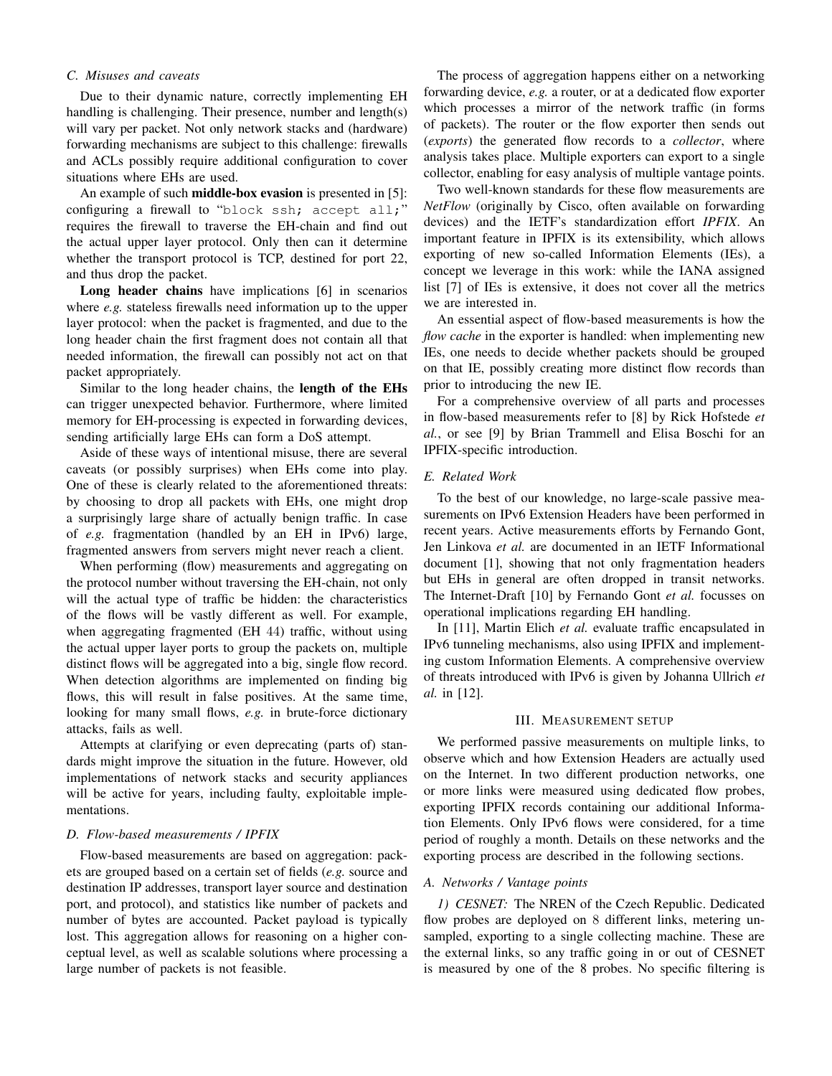# *C. Misuses and caveats*

Due to their dynamic nature, correctly implementing EH handling is challenging. Their presence, number and length(s) will vary per packet. Not only network stacks and (hardware) forwarding mechanisms are subject to this challenge: firewalls and ACLs possibly require additional configuration to cover situations where EHs are used.

An example of such **middle-box evasion** is presented in [5]: configuring a firewall to "block ssh; accept all;" requires the firewall to traverse the EH-chain and find out the actual upper layer protocol. Only then can it determine whether the transport protocol is TCP, destined for port 22, and thus drop the packet.

Long header chains have implications [6] in scenarios where *e.g.* stateless firewalls need information up to the upper layer protocol: when the packet is fragmented, and due to the long header chain the first fragment does not contain all that needed information, the firewall can possibly not act on that packet appropriately.

Similar to the long header chains, the length of the EHs can trigger unexpected behavior. Furthermore, where limited memory for EH-processing is expected in forwarding devices, sending artificially large EHs can form a DoS attempt.

Aside of these ways of intentional misuse, there are several caveats (or possibly surprises) when EHs come into play. One of these is clearly related to the aforementioned threats: by choosing to drop all packets with EHs, one might drop a surprisingly large share of actually benign traffic. In case of *e.g.* fragmentation (handled by an EH in IPv6) large, fragmented answers from servers might never reach a client.

When performing (flow) measurements and aggregating on the protocol number without traversing the EH-chain, not only will the actual type of traffic be hidden: the characteristics of the flows will be vastly different as well. For example, when aggregating fragmented (EH 44) traffic, without using the actual upper layer ports to group the packets on, multiple distinct flows will be aggregated into a big, single flow record. When detection algorithms are implemented on finding big flows, this will result in false positives. At the same time, looking for many small flows, *e.g.* in brute-force dictionary attacks, fails as well.

Attempts at clarifying or even deprecating (parts of) standards might improve the situation in the future. However, old implementations of network stacks and security appliances will be active for years, including faulty, exploitable implementations.

#### *D. Flow-based measurements / IPFIX*

Flow-based measurements are based on aggregation: packets are grouped based on a certain set of fields (*e.g.* source and destination IP addresses, transport layer source and destination port, and protocol), and statistics like number of packets and number of bytes are accounted. Packet payload is typically lost. This aggregation allows for reasoning on a higher conceptual level, as well as scalable solutions where processing a large number of packets is not feasible.

The process of aggregation happens either on a networking forwarding device, *e.g.* a router, or at a dedicated flow exporter which processes a mirror of the network traffic (in forms of packets). The router or the flow exporter then sends out (*exports*) the generated flow records to a *collector*, where analysis takes place. Multiple exporters can export to a single collector, enabling for easy analysis of multiple vantage points.

Two well-known standards for these flow measurements are *NetFlow* (originally by Cisco, often available on forwarding devices) and the IETF's standardization effort *IPFIX*. An important feature in IPFIX is its extensibility, which allows exporting of new so-called Information Elements (IEs), a concept we leverage in this work: while the IANA assigned list [7] of IEs is extensive, it does not cover all the metrics we are interested in.

An essential aspect of flow-based measurements is how the *flow cache* in the exporter is handled: when implementing new IEs, one needs to decide whether packets should be grouped on that IE, possibly creating more distinct flow records than prior to introducing the new IE.

For a comprehensive overview of all parts and processes in flow-based measurements refer to [8] by Rick Hofstede *et al.*, or see [9] by Brian Trammell and Elisa Boschi for an IPFIX-specific introduction.

#### *E. Related Work*

To the best of our knowledge, no large-scale passive measurements on IPv6 Extension Headers have been performed in recent years. Active measurements efforts by Fernando Gont, Jen Linkova *et al.* are documented in an IETF Informational document [1], showing that not only fragmentation headers but EHs in general are often dropped in transit networks. The Internet-Draft [10] by Fernando Gont *et al.* focusses on operational implications regarding EH handling.

In [11], Martin Elich *et al.* evaluate traffic encapsulated in IPv6 tunneling mechanisms, also using IPFIX and implementing custom Information Elements. A comprehensive overview of threats introduced with IPv6 is given by Johanna Ullrich *et al.* in [12].

#### III. MEASUREMENT SETUP

We performed passive measurements on multiple links, to observe which and how Extension Headers are actually used on the Internet. In two different production networks, one or more links were measured using dedicated flow probes, exporting IPFIX records containing our additional Information Elements. Only IPv6 flows were considered, for a time period of roughly a month. Details on these networks and the exporting process are described in the following sections.

# *A. Networks / Vantage points*

*1) CESNET:* The NREN of the Czech Republic. Dedicated flow probes are deployed on 8 different links, metering unsampled, exporting to a single collecting machine. These are the external links, so any traffic going in or out of CESNET is measured by one of the 8 probes. No specific filtering is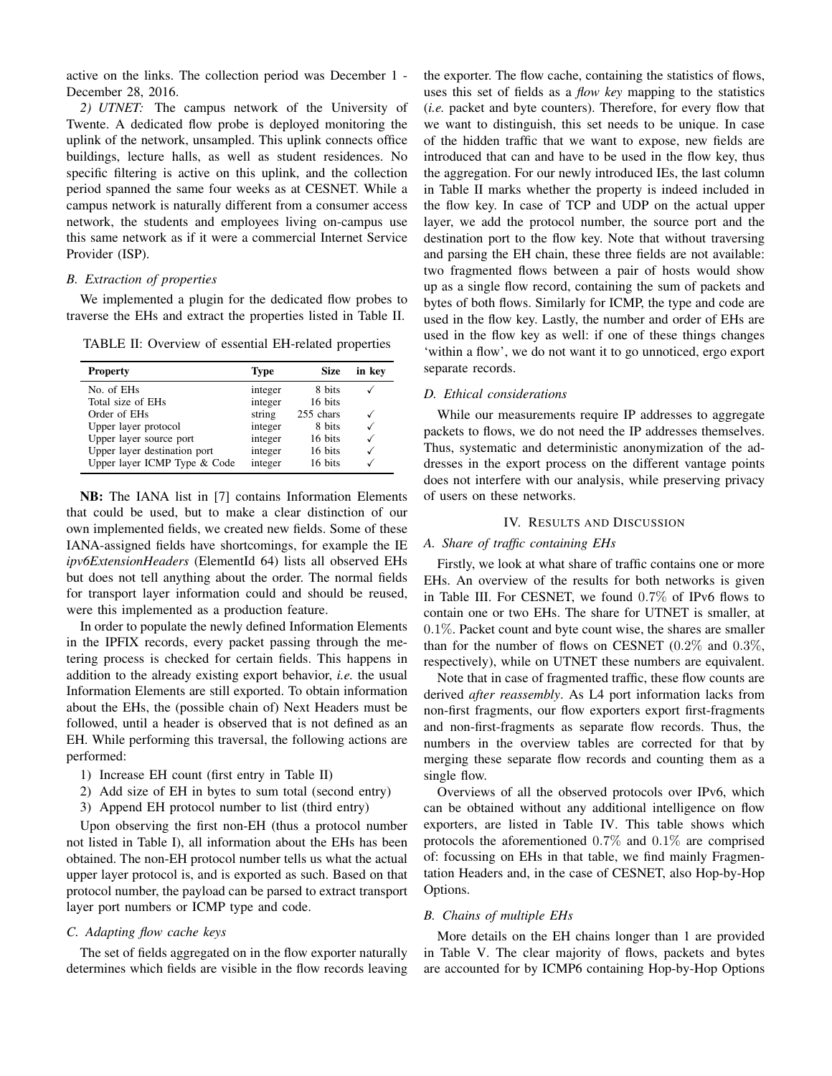active on the links. The collection period was December 1 - December 28, 2016.

*2) UTNET:* The campus network of the University of Twente. A dedicated flow probe is deployed monitoring the uplink of the network, unsampled. This uplink connects office buildings, lecture halls, as well as student residences. No specific filtering is active on this uplink, and the collection period spanned the same four weeks as at CESNET. While a campus network is naturally different from a consumer access network, the students and employees living on-campus use this same network as if it were a commercial Internet Service Provider (ISP).

### *B. Extraction of properties*

We implemented a plugin for the dedicated flow probes to traverse the EHs and extract the properties listed in Table II.

TABLE II: Overview of essential EH-related properties

| <b>Property</b>              | <b>Type</b> | <b>Size</b> | in kev |
|------------------------------|-------------|-------------|--------|
| No. of EHs                   | integer     | 8 bits      |        |
| Total size of EHs            | integer     | 16 bits     |        |
| Order of EHs                 | string      | 255 chars   |        |
| Upper layer protocol         | integer     | 8 bits      |        |
| Upper layer source port      | integer     | 16 bits     |        |
| Upper layer destination port | integer     | 16 bits     |        |
| Upper layer ICMP Type & Code | integer     | 16 bits     |        |

NB: The IANA list in [7] contains Information Elements that could be used, but to make a clear distinction of our own implemented fields, we created new fields. Some of these IANA-assigned fields have shortcomings, for example the IE *ipv6ExtensionHeaders* (ElementId 64) lists all observed EHs but does not tell anything about the order. The normal fields for transport layer information could and should be reused, were this implemented as a production feature.

In order to populate the newly defined Information Elements in the IPFIX records, every packet passing through the metering process is checked for certain fields. This happens in addition to the already existing export behavior, *i.e.* the usual Information Elements are still exported. To obtain information about the EHs, the (possible chain of) Next Headers must be followed, until a header is observed that is not defined as an EH. While performing this traversal, the following actions are performed:

- 1) Increase EH count (first entry in Table II)
- 2) Add size of EH in bytes to sum total (second entry)
- 3) Append EH protocol number to list (third entry)

Upon observing the first non-EH (thus a protocol number not listed in Table I), all information about the EHs has been obtained. The non-EH protocol number tells us what the actual upper layer protocol is, and is exported as such. Based on that protocol number, the payload can be parsed to extract transport layer port numbers or ICMP type and code.

# *C. Adapting flow cache keys*

The set of fields aggregated on in the flow exporter naturally determines which fields are visible in the flow records leaving the exporter. The flow cache, containing the statistics of flows, uses this set of fields as a *flow key* mapping to the statistics (*i.e.* packet and byte counters). Therefore, for every flow that we want to distinguish, this set needs to be unique. In case of the hidden traffic that we want to expose, new fields are introduced that can and have to be used in the flow key, thus the aggregation. For our newly introduced IEs, the last column in Table II marks whether the property is indeed included in the flow key. In case of TCP and UDP on the actual upper layer, we add the protocol number, the source port and the destination port to the flow key. Note that without traversing and parsing the EH chain, these three fields are not available: two fragmented flows between a pair of hosts would show up as a single flow record, containing the sum of packets and bytes of both flows. Similarly for ICMP, the type and code are used in the flow key. Lastly, the number and order of EHs are used in the flow key as well: if one of these things changes 'within a flow', we do not want it to go unnoticed, ergo export separate records.

## *D. Ethical considerations*

While our measurements require IP addresses to aggregate packets to flows, we do not need the IP addresses themselves. Thus, systematic and deterministic anonymization of the addresses in the export process on the different vantage points does not interfere with our analysis, while preserving privacy of users on these networks.

### IV. RESULTS AND DISCUSSION

# *A. Share of traffic containing EHs*

Firstly, we look at what share of traffic contains one or more EHs. An overview of the results for both networks is given in Table III. For CESNET, we found 0.7% of IPv6 flows to contain one or two EHs. The share for UTNET is smaller, at 0.1%. Packet count and byte count wise, the shares are smaller than for the number of flows on CESNET  $(0.2\%$  and  $0.3\%$ , respectively), while on UTNET these numbers are equivalent.

Note that in case of fragmented traffic, these flow counts are derived *after reassembly*. As L4 port information lacks from non-first fragments, our flow exporters export first-fragments and non-first-fragments as separate flow records. Thus, the numbers in the overview tables are corrected for that by merging these separate flow records and counting them as a single flow.

Overviews of all the observed protocols over IPv6, which can be obtained without any additional intelligence on flow exporters, are listed in Table IV. This table shows which protocols the aforementioned 0.7% and 0.1% are comprised of: focussing on EHs in that table, we find mainly Fragmentation Headers and, in the case of CESNET, also Hop-by-Hop Options.

#### *B. Chains of multiple EHs*

More details on the EH chains longer than 1 are provided in Table V. The clear majority of flows, packets and bytes are accounted for by ICMP6 containing Hop-by-Hop Options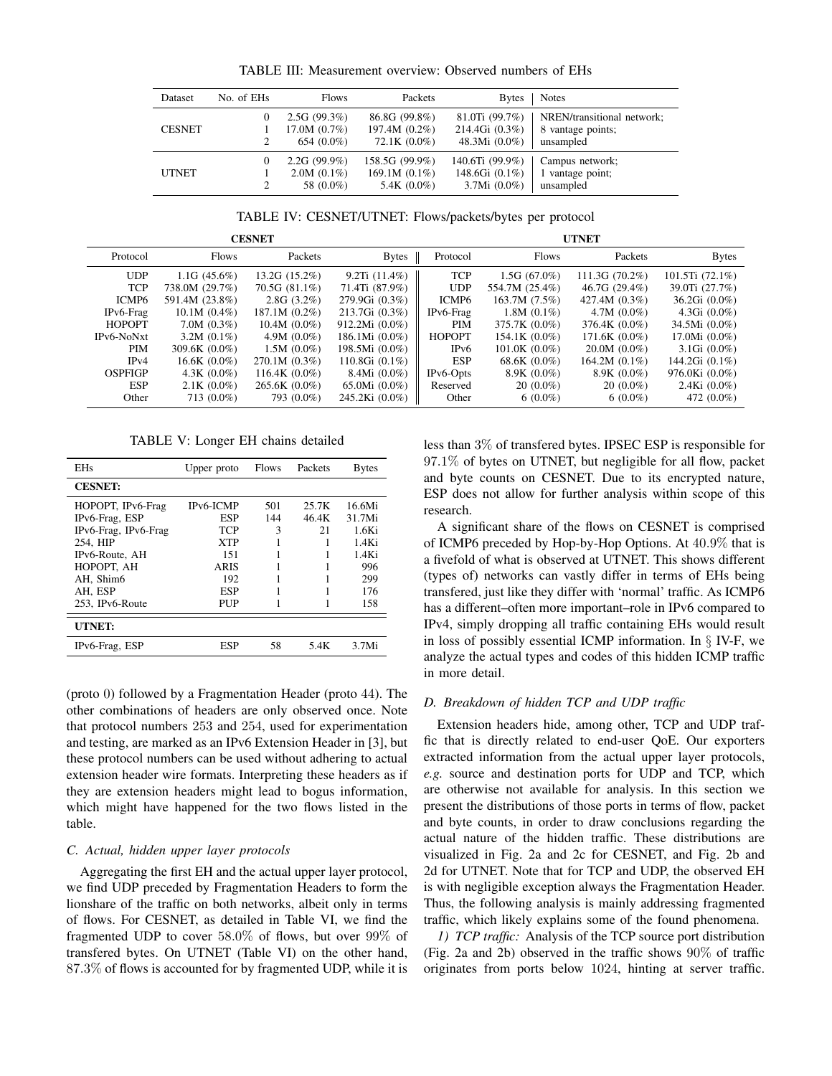| TABLE III: Measurement overview: Observed numbers of EHs |  |  |  |
|----------------------------------------------------------|--|--|--|
|----------------------------------------------------------|--|--|--|

| Dataset       | No. of EHs | <b>Flows</b>                                 | Packets                                              | <b>Bytes</b>                                               | <b>Notes</b>                                                 |
|---------------|------------|----------------------------------------------|------------------------------------------------------|------------------------------------------------------------|--------------------------------------------------------------|
| <b>CESNET</b> | 0<br>2     | 2.5G(99.3%)<br>17.0M(0.7%)<br>654 $(0.0\%)$  | 86.8G (99.8%)<br>197.4M $(0.2\%)$<br>72.1K $(0.0\%)$ | $81.0$ Ti (99.7%)<br>214.4Gi $(0.3\%)$<br>48.3Mi $(0.0\%)$ | NREN/transitional network;<br>8 vantage points;<br>unsampled |
| <b>UTNET</b>  | 0<br>2     | $2.2G(99.9\%)$<br>$2.0M(0.1\%)$<br>58 (0.0%) | 158.5G (99.9%)<br>169.1M $(0.1\%)$<br>5.4K $(0.0\%)$ | 140.6Ti (99.9%)<br>148.6Gi $(0.1\%)$<br>3.7Mi $(0.0\%)$    | Campus network;<br>1 vantage point;<br>unsampled             |

| TABLE IV: CESNET/UTNET: Flows/packets/bytes per protocol |  |  |
|----------------------------------------------------------|--|--|
|----------------------------------------------------------|--|--|

CESNET UTNET

| Protocol       | <b>Flows</b>     | Packets          | <b>Bytes</b>               | Protocol      | <b>Flows</b>     | Packets           | <b>Bytes</b>       |
|----------------|------------------|------------------|----------------------------|---------------|------------------|-------------------|--------------------|
| <b>UDP</b>     | $1.1G(45.6\%)$   | $13.2G(15.2\%)$  | $9.2$ Ti $(11.4\%)$        | <b>TCP</b>    | $1.5G(67.0\%)$   | 111.3G $(70.2\%)$ | 101.5Ti $(72.1\%)$ |
| <b>TCP</b>     | 738.0M (29.7%)   | 70.5G $(81.1\%)$ | 71.4Ti (87.9%)             | <b>UDP</b>    | 554.7M (25.4%)   | 46.7G (29.4%)     | 39.0Ti (27.7%)     |
| ICMP6          | 591.4M (23.8%)   | $2.8G(3.2\%)$    | 279.9Gi (0.3%)             | ICMP6         | 163.7M(7.5%)     | 427.4M $(0.3\%)$  | 36.2Gi $(0.0\%)$   |
| $IPv6$ -Frag   | $10.1M(0.4\%)$   | $187.1M(0.2\%)$  | $213.7\text{Gi}$ $(0.3\%)$ | $IPv6$ -Frag  | $1.8M(0.1\%)$    | 4.7M $(0.0\%)$    | 4.3Gi $(0.0\%)$    |
| <b>HOPOPT</b>  | $7.0M(0.3\%)$    | $10.4M(0.0\%)$   | $912.2Mi$ $(0.0\%)$        | <b>PIM</b>    | 375.7K (0.0%)    | 376.4K $(0.0\%)$  | 34.5Mi (0.0%)      |
| IPv6-NoNxt     | 3.2M $(0.1\%)$   | 4.9M $(0.0\%)$   | 186.1Mi $(0.0\%)$          | <b>HOPOPT</b> | 154.1K $(0.0\%)$ | $171.6K(0.0\%)$   | 17.0Mi $(0.0\%)$   |
| <b>PIM</b>     | 309.6K $(0.0\%)$ | $1.5M(0.0\%)$    | 198.5Mi (0.0%)             | IPv6          | 101.0K $(0.0\%)$ | $20.0M(0.0\%)$    | 3.1Gi $(0.0\%)$    |
| IPv4           | 16.6K $(0.0\%)$  | 270.1M(0.3%)     | 110.8Gi $(0.1\%)$          | <b>ESP</b>    | 68.6K $(0.0\%)$  | 164.2M $(0.1\%)$  | 144.2Gi (0.1%)     |
| <b>OSPFIGP</b> | 4.3K $(0.0\%)$   | 116.4K $(0.0\%)$ | 8.4Mi $(0.0\%)$            | $IPv6-Opts$   | 8.9K $(0.0\%)$   | $8.9K(0.0\%)$     | 976.0Ki (0.0%)     |
| <b>ESP</b>     | $2.1K(0.0\%)$    | $265.6K(0.0\%)$  | 65.0Mi $(0.0\%)$           | Reserved      | $20(0.0\%)$      | $20(0.0\%)$       | $2.4$ Ki $(0.0\%)$ |
| Other          | 713 (0.0%)       | 793 (0.0%)       | 245.2Ki (0.0%)             | Other         | $6(0.0\%)$       | $6(0.0\%)$        | 472 (0.0%)         |

TABLE V: Longer EH chains detailed

| <b>EHs</b>           | Upper proto | <b>Flows</b> | Packets | <b>Bytes</b> |
|----------------------|-------------|--------------|---------|--------------|
| <b>CESNET:</b>       |             |              |         |              |
| HOPOPT, IPv6-Frag    | IPv6-ICMP   | 501          | 25.7K   | 16.6Mi       |
| IPv6-Frag, ESP       | ESP         | 144          | 46.4K   | 31.7Mi       |
| IPv6-Frag, IPv6-Frag | <b>TCP</b>  | 3            | 21      | $1.6K$ i     |
| 254. HIP             | <b>XTP</b>  |              |         | $1.4$ Ki     |
| IPv6-Route, AH       | 151         |              |         | $1.4$ Ki     |
| HOPOPT, AH           | <b>ARIS</b> |              |         | 996          |
| AH, Shim6            | 192         |              |         | 299          |
| AH, ESP              | <b>ESP</b>  |              |         | 176          |
| 253, IPv6-Route      | PUP         |              |         | 158          |
| UTNET:               |             |              |         |              |
| IPv6-Frag, ESP       | ESP         | 58           | 5.4K    | 3.7Mi        |

(proto 0) followed by a Fragmentation Header (proto 44). The other combinations of headers are only observed once. Note that protocol numbers 253 and 254, used for experimentation and testing, are marked as an IPv6 Extension Header in [3], but these protocol numbers can be used without adhering to actual extension header wire formats. Interpreting these headers as if they are extension headers might lead to bogus information, which might have happened for the two flows listed in the table.

### *C. Actual, hidden upper layer protocols*

Aggregating the first EH and the actual upper layer protocol, we find UDP preceded by Fragmentation Headers to form the lionshare of the traffic on both networks, albeit only in terms of flows. For CESNET, as detailed in Table VI, we find the fragmented UDP to cover 58.0% of flows, but over 99% of transfered bytes. On UTNET (Table VI) on the other hand, 87.3% of flows is accounted for by fragmented UDP, while it is less than 3% of transfered bytes. IPSEC ESP is responsible for 97.1% of bytes on UTNET, but negligible for all flow, packet and byte counts on CESNET. Due to its encrypted nature, ESP does not allow for further analysis within scope of this research.

A significant share of the flows on CESNET is comprised of ICMP6 preceded by Hop-by-Hop Options. At 40.9% that is a fivefold of what is observed at UTNET. This shows different (types of) networks can vastly differ in terms of EHs being transfered, just like they differ with 'normal' traffic. As ICMP6 has a different–often more important–role in IPv6 compared to IPv4, simply dropping all traffic containing EHs would result in loss of possibly essential ICMP information. In  $\S$  IV-F, we analyze the actual types and codes of this hidden ICMP traffic in more detail.

# *D. Breakdown of hidden TCP and UDP traffic*

Extension headers hide, among other, TCP and UDP traffic that is directly related to end-user QoE. Our exporters extracted information from the actual upper layer protocols, *e.g.* source and destination ports for UDP and TCP, which are otherwise not available for analysis. In this section we present the distributions of those ports in terms of flow, packet and byte counts, in order to draw conclusions regarding the actual nature of the hidden traffic. These distributions are visualized in Fig. 2a and 2c for CESNET, and Fig. 2b and 2d for UTNET. Note that for TCP and UDP, the observed EH is with negligible exception always the Fragmentation Header. Thus, the following analysis is mainly addressing fragmented traffic, which likely explains some of the found phenomena.

*1) TCP traffic:* Analysis of the TCP source port distribution (Fig. 2a and 2b) observed in the traffic shows 90% of traffic originates from ports below 1024, hinting at server traffic.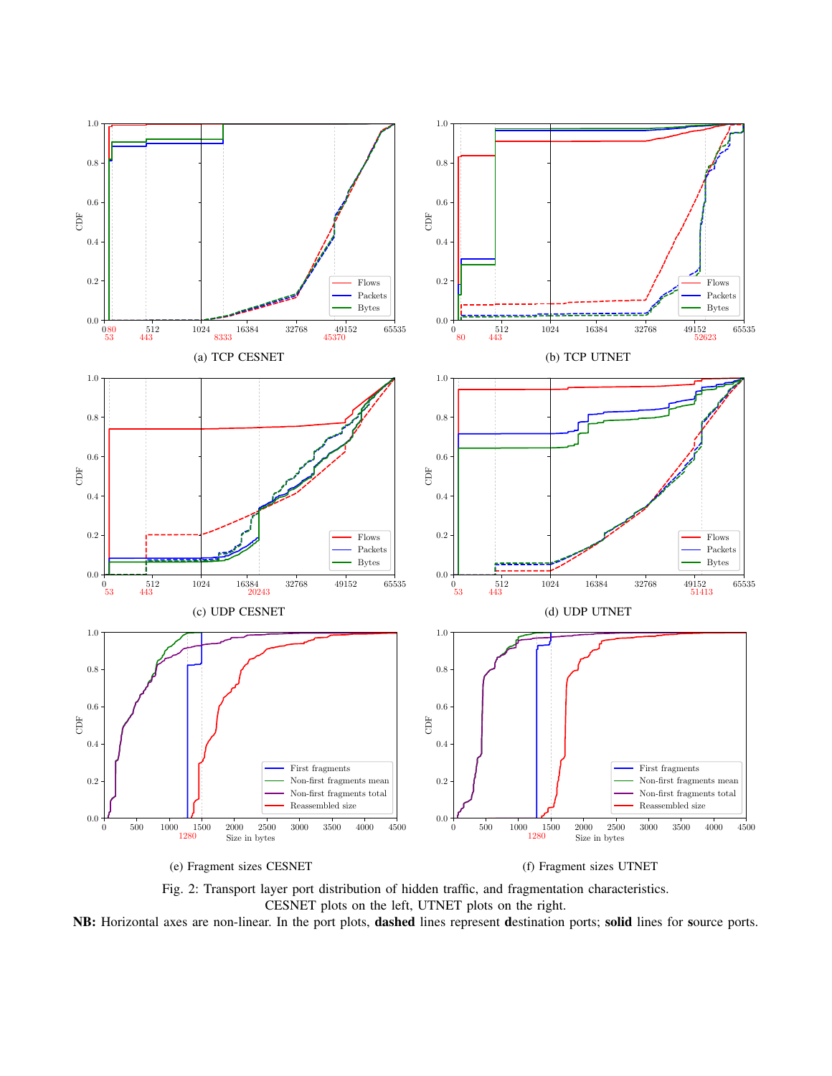

Fig. 2: Transport layer port distribution of hidden traffic, and fragmentation characteristics. CESNET plots on the left, UTNET plots on the right.

NB: Horizontal axes are non-linear. In the port plots, dashed lines represent destination ports; solid lines for source ports.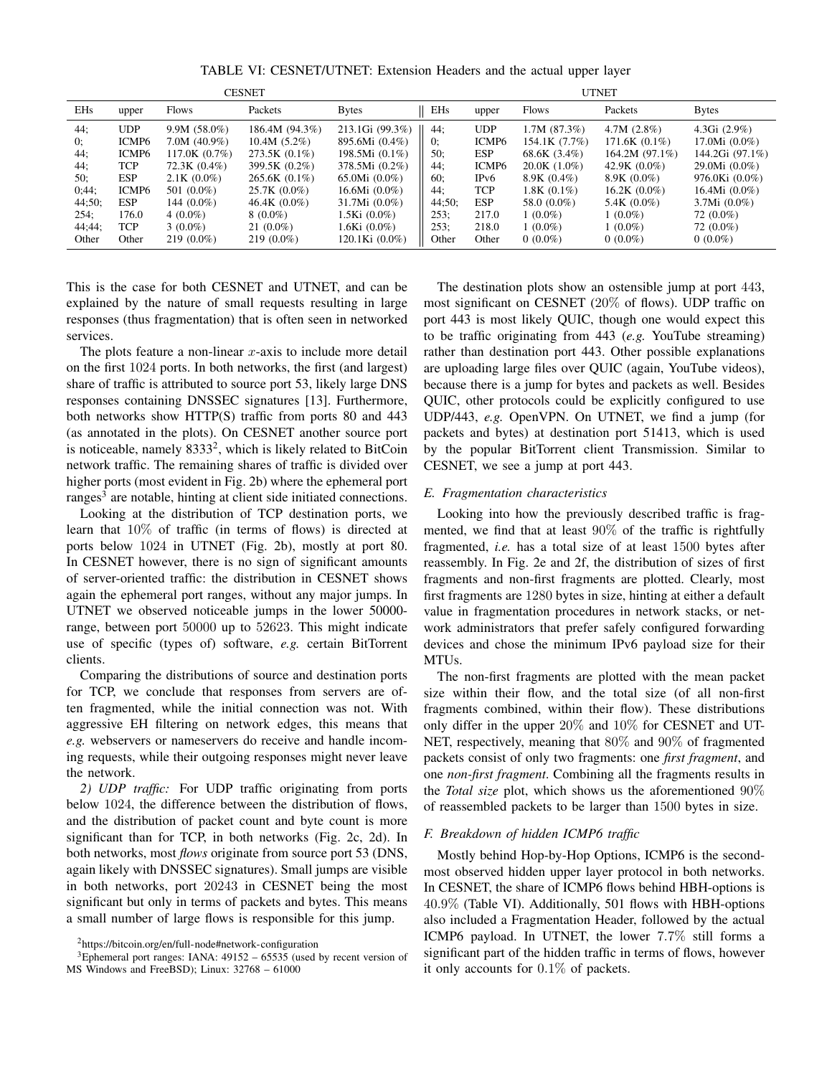TABLE VI: CESNET/UTNET: Extension Headers and the actual upper layer

| <b>CESNET</b> |                                 |                                  |                                  |                                   |           |                                 | <b>UTNET</b>                 |                                    |                                     |
|---------------|---------------------------------|----------------------------------|----------------------------------|-----------------------------------|-----------|---------------------------------|------------------------------|------------------------------------|-------------------------------------|
| <b>EHs</b>    | upper                           | <b>Flows</b>                     | Packets                          | <b>Bytes</b>                      | EHs       | upper                           | <b>Flows</b>                 | Packets                            | <b>B</b> ytes                       |
| 44:<br>0:     | <b>UDP</b><br>ICMP <sub>6</sub> | $9.9M(58.0\%)$<br>$7.0M$ (40.9%) | 186.4M (94.3%)<br>$10.4M(5.2\%)$ | 213.1Gi (99.3%)<br>895.6Mi (0.4%) | 44:<br>0: | <b>UDP</b><br>ICMP <sub>6</sub> | 1.7M(87.3%)<br>154.1K (7.7%) | 4.7M $(2.8\%)$<br>171.6K $(0.1\%)$ | 4.3Gi $(2.9\%)$<br>17.0Mi $(0.0\%)$ |
| 44;           | ICMP <sub>6</sub>               | 117.0K $(0.7\%)$                 | $273.5K(0.1\%)$                  | 198.5Mi $(0.1\%)$                 | 50:       | <b>ESP</b>                      | 68.6K (3.4%)                 | 164.2M (97.1%)                     | 144.2Gi (97.1%)                     |
| 44;           | <b>TCP</b>                      | 72.3K $(0.4\%)$                  | 399.5K (0.2%)                    | 378.5Mi (0.2%)                    | 44:       | ICMP <sub>6</sub>               | $20.0K(1.0\%)$               | 42.9K $(0.0\%)$                    | 29.0Mi (0.0%)                       |
| 50:           | <b>ESP</b>                      | $2.1K(0.0\%)$                    | $265.6K(0.1\%)$                  | $65.0Mi$ (0.0%)                   | 60:       | IPv6                            | 8.9K $(0.4\%)$               | 8.9K $(0.0\%)$                     | 976.0Ki (0.0%)                      |
| 0:44:         | ICMP <sub>6</sub>               | 501 (0.0%)                       | $25.7K(0.0\%)$                   | 16.6Mi $(0.0\%)$                  | 44:       | <b>TCP</b>                      | 1.8K (0.1%)                  | 16.2K $(0.0\%)$                    | 16.4Mi $(0.0\%)$                    |
| 44:50;        | <b>ESP</b>                      | 144 $(0.0\%)$                    | 46.4K $(0.0\%)$                  | 31.7Mi $(0.0\%)$                  | 44:50;    | <b>ESP</b>                      | 58.0 (0.0%)                  | 5.4K $(0.0\%)$                     | 3.7Mi $(0.0\%)$                     |
| 254:          | 176.0                           | $4(0.0\%)$                       | $8(0.0\%)$                       | 1.5Ki (0.0%)                      | 253:      | 217.0                           | $(0.0\%)$                    | $1(0.0\%)$                         | $72(0.0\%)$                         |
| 44:44:        | TCP                             | $3(0.0\%)$                       | $21(0.0\%)$                      | 1.6Ki (0.0%)                      | 253:      | 218.0                           | $1(0.0\%)$                   | $1(0.0\%)$                         | 72 (0.0%)                           |
| Other         | Other                           | $219(0.0\%)$                     | $219(0.0\%)$                     | 120.1Ki (0.0%)                    | Other     | Other                           | $0(0.0\%)$                   | $0(0.0\%)$                         | $0(0.0\%)$                          |

This is the case for both CESNET and UTNET, and can be explained by the nature of small requests resulting in large responses (thus fragmentation) that is often seen in networked services.

The plots feature a non-linear  $x$ -axis to include more detail on the first 1024 ports. In both networks, the first (and largest) share of traffic is attributed to source port 53, likely large DNS responses containing DNSSEC signatures [13]. Furthermore, both networks show HTTP(S) traffic from ports 80 and 443 (as annotated in the plots). On CESNET another source port is noticeable, namely  $8333<sup>2</sup>$ , which is likely related to BitCoin network traffic. The remaining shares of traffic is divided over higher ports (most evident in Fig. 2b) where the ephemeral port ranges<sup>3</sup> are notable, hinting at client side initiated connections.

Looking at the distribution of TCP destination ports, we learn that 10% of traffic (in terms of flows) is directed at ports below 1024 in UTNET (Fig. 2b), mostly at port 80. In CESNET however, there is no sign of significant amounts of server-oriented traffic: the distribution in CESNET shows again the ephemeral port ranges, without any major jumps. In UTNET we observed noticeable jumps in the lower 50000 range, between port 50000 up to 52623. This might indicate use of specific (types of) software, *e.g.* certain BitTorrent clients.

Comparing the distributions of source and destination ports for TCP, we conclude that responses from servers are often fragmented, while the initial connection was not. With aggressive EH filtering on network edges, this means that *e.g.* webservers or nameservers do receive and handle incoming requests, while their outgoing responses might never leave the network.

*2) UDP traffic:* For UDP traffic originating from ports below 1024, the difference between the distribution of flows, and the distribution of packet count and byte count is more significant than for TCP, in both networks (Fig. 2c, 2d). In both networks, most *flows* originate from source port 53 (DNS, again likely with DNSSEC signatures). Small jumps are visible in both networks, port 20243 in CESNET being the most significant but only in terms of packets and bytes. This means a small number of large flows is responsible for this jump.

The destination plots show an ostensible jump at port 443, most significant on CESNET (20% of flows). UDP traffic on port 443 is most likely QUIC, though one would expect this to be traffic originating from 443 (*e.g.* YouTube streaming) rather than destination port 443. Other possible explanations are uploading large files over QUIC (again, YouTube videos), because there is a jump for bytes and packets as well. Besides QUIC, other protocols could be explicitly configured to use UDP/443, *e.g.* OpenVPN. On UTNET, we find a jump (for packets and bytes) at destination port 51413, which is used by the popular BitTorrent client Transmission. Similar to CESNET, we see a jump at port 443.

#### *E. Fragmentation characteristics*

Looking into how the previously described traffic is fragmented, we find that at least 90% of the traffic is rightfully fragmented, *i.e.* has a total size of at least 1500 bytes after reassembly. In Fig. 2e and 2f, the distribution of sizes of first fragments and non-first fragments are plotted. Clearly, most first fragments are 1280 bytes in size, hinting at either a default value in fragmentation procedures in network stacks, or network administrators that prefer safely configured forwarding devices and chose the minimum IPv6 payload size for their MTUs.

The non-first fragments are plotted with the mean packet size within their flow, and the total size (of all non-first fragments combined, within their flow). These distributions only differ in the upper 20% and 10% for CESNET and UT-NET, respectively, meaning that 80% and 90% of fragmented packets consist of only two fragments: one *first fragment*, and one *non-first fragment*. Combining all the fragments results in the *Total size* plot, which shows us the aforementioned 90% of reassembled packets to be larger than 1500 bytes in size.

### *F. Breakdown of hidden ICMP6 traffic*

Mostly behind Hop-by-Hop Options, ICMP6 is the secondmost observed hidden upper layer protocol in both networks. In CESNET, the share of ICMP6 flows behind HBH-options is 40.9% (Table VI). Additionally, 501 flows with HBH-options also included a Fragmentation Header, followed by the actual ICMP6 payload. In UTNET, the lower 7.7% still forms a significant part of the hidden traffic in terms of flows, however it only accounts for 0.1% of packets.

<sup>2</sup>https://bitcoin.org/en/full-node#network-configuration

 $3$ Ephemeral port ranges: IANA:  $49152 - 65535$  (used by recent version of MS Windows and FreeBSD); Linux: 32768 – 61000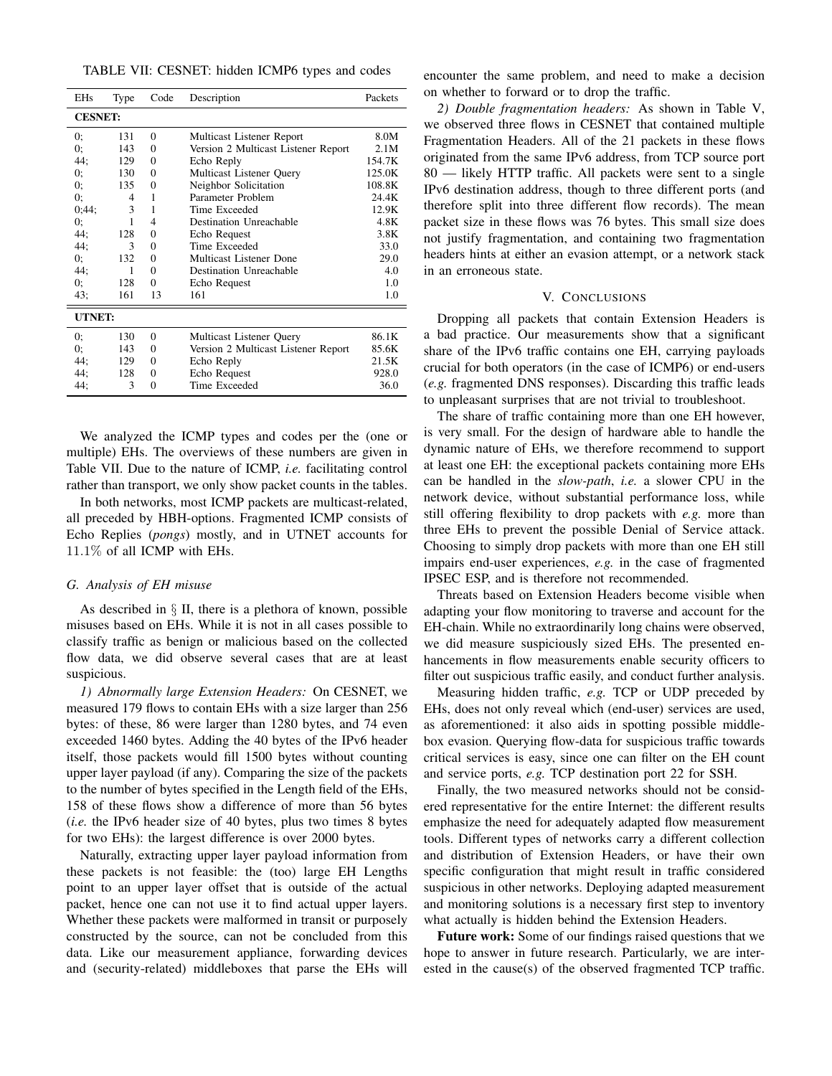| EHs            | Type          | Code     | Description                         | Packets |  |  |
|----------------|---------------|----------|-------------------------------------|---------|--|--|
| <b>CESNET:</b> |               |          |                                     |         |  |  |
| 0;             | 131           | $\Omega$ | Multicast Listener Report           | 8.0M    |  |  |
| 0;             | 143           | 0        | Version 2 Multicast Listener Report | 2.1M    |  |  |
| 44;            | 129           | $\Omega$ | Echo Reply                          | 154.7K  |  |  |
| 0:             | 130           | $\Omega$ | Multicast Listener Query            | 125.0K  |  |  |
| 0;             | 135           | $\Omega$ | Neighbor Solicitation               | 108.8K  |  |  |
| 0;             | 4             | 1        | Parameter Problem                   | 24.4K   |  |  |
| 0;44;          | 3             | 1        | Time Exceeded                       | 12.9K   |  |  |
| 0;             | 1             | 4        | Destination Unreachable             | 4.8K    |  |  |
| 44:            | 128           | $\Omega$ | Echo Request                        | 3.8K    |  |  |
| 44;            | $\mathcal{F}$ | 0        | Time Exceeded                       | 33.0    |  |  |
| 0;             | 132           | $\Omega$ | <b>Multicast Listener Done</b>      | 29.0    |  |  |
| 44;            | 1             | $\Omega$ | Destination Unreachable             | 4.0     |  |  |
| 0:             | 128           | $\Omega$ | Echo Request                        | 1.0     |  |  |
| 43:            | 161           | 13       | 161                                 | 1.0     |  |  |
| <b>UTNET:</b>  |               |          |                                     |         |  |  |
| 0;             | 130           | $\Omega$ | Multicast Listener Query            | 86.1K   |  |  |
| 0;             | 143           | $\Omega$ | Version 2 Multicast Listener Report | 85.6K   |  |  |
| 44:            | 129           | $\Omega$ | Echo Reply                          | 21.5K   |  |  |
| 44;            | 128           | $\Omega$ | Echo Request                        | 928.0   |  |  |
| 44;            | 3             | $\Omega$ | Time Exceeded                       | 36.0    |  |  |

We analyzed the ICMP types and codes per the (one or multiple) EHs. The overviews of these numbers are given in Table VII. Due to the nature of ICMP, *i.e.* facilitating control rather than transport, we only show packet counts in the tables.

In both networks, most ICMP packets are multicast-related, all preceded by HBH-options. Fragmented ICMP consists of Echo Replies (*pongs*) mostly, and in UTNET accounts for 11.1% of all ICMP with EHs.

#### *G. Analysis of EH misuse*

As described in  $\S$  II, there is a plethora of known, possible misuses based on EHs. While it is not in all cases possible to classify traffic as benign or malicious based on the collected flow data, we did observe several cases that are at least suspicious.

*1) Abnormally large Extension Headers:* On CESNET, we measured 179 flows to contain EHs with a size larger than 256 bytes: of these, 86 were larger than 1280 bytes, and 74 even exceeded 1460 bytes. Adding the 40 bytes of the IPv6 header itself, those packets would fill 1500 bytes without counting upper layer payload (if any). Comparing the size of the packets to the number of bytes specified in the Length field of the EHs, 158 of these flows show a difference of more than 56 bytes (*i.e.* the IPv6 header size of 40 bytes, plus two times 8 bytes for two EHs): the largest difference is over 2000 bytes.

Naturally, extracting upper layer payload information from these packets is not feasible: the (too) large EH Lengths point to an upper layer offset that is outside of the actual packet, hence one can not use it to find actual upper layers. Whether these packets were malformed in transit or purposely constructed by the source, can not be concluded from this data. Like our measurement appliance, forwarding devices and (security-related) middleboxes that parse the EHs will encounter the same problem, and need to make a decision on whether to forward or to drop the traffic.

*2) Double fragmentation headers:* As shown in Table V, we observed three flows in CESNET that contained multiple Fragmentation Headers. All of the 21 packets in these flows originated from the same IPv6 address, from TCP source port 80 — likely HTTP traffic. All packets were sent to a single IPv6 destination address, though to three different ports (and therefore split into three different flow records). The mean packet size in these flows was 76 bytes. This small size does not justify fragmentation, and containing two fragmentation headers hints at either an evasion attempt, or a network stack in an erroneous state.

#### V. CONCLUSIONS

Dropping all packets that contain Extension Headers is a bad practice. Our measurements show that a significant share of the IPv6 traffic contains one EH, carrying payloads crucial for both operators (in the case of ICMP6) or end-users (*e.g.* fragmented DNS responses). Discarding this traffic leads to unpleasant surprises that are not trivial to troubleshoot.

The share of traffic containing more than one EH however, is very small. For the design of hardware able to handle the dynamic nature of EHs, we therefore recommend to support at least one EH: the exceptional packets containing more EHs can be handled in the *slow-path*, *i.e.* a slower CPU in the network device, without substantial performance loss, while still offering flexibility to drop packets with *e.g.* more than three EHs to prevent the possible Denial of Service attack. Choosing to simply drop packets with more than one EH still impairs end-user experiences, *e.g.* in the case of fragmented IPSEC ESP, and is therefore not recommended.

Threats based on Extension Headers become visible when adapting your flow monitoring to traverse and account for the EH-chain. While no extraordinarily long chains were observed, we did measure suspiciously sized EHs. The presented enhancements in flow measurements enable security officers to filter out suspicious traffic easily, and conduct further analysis.

Measuring hidden traffic, *e.g.* TCP or UDP preceded by EHs, does not only reveal which (end-user) services are used, as aforementioned: it also aids in spotting possible middlebox evasion. Querying flow-data for suspicious traffic towards critical services is easy, since one can filter on the EH count and service ports, *e.g.* TCP destination port 22 for SSH.

Finally, the two measured networks should not be considered representative for the entire Internet: the different results emphasize the need for adequately adapted flow measurement tools. Different types of networks carry a different collection and distribution of Extension Headers, or have their own specific configuration that might result in traffic considered suspicious in other networks. Deploying adapted measurement and monitoring solutions is a necessary first step to inventory what actually is hidden behind the Extension Headers.

Future work: Some of our findings raised questions that we hope to answer in future research. Particularly, we are interested in the cause(s) of the observed fragmented TCP traffic.